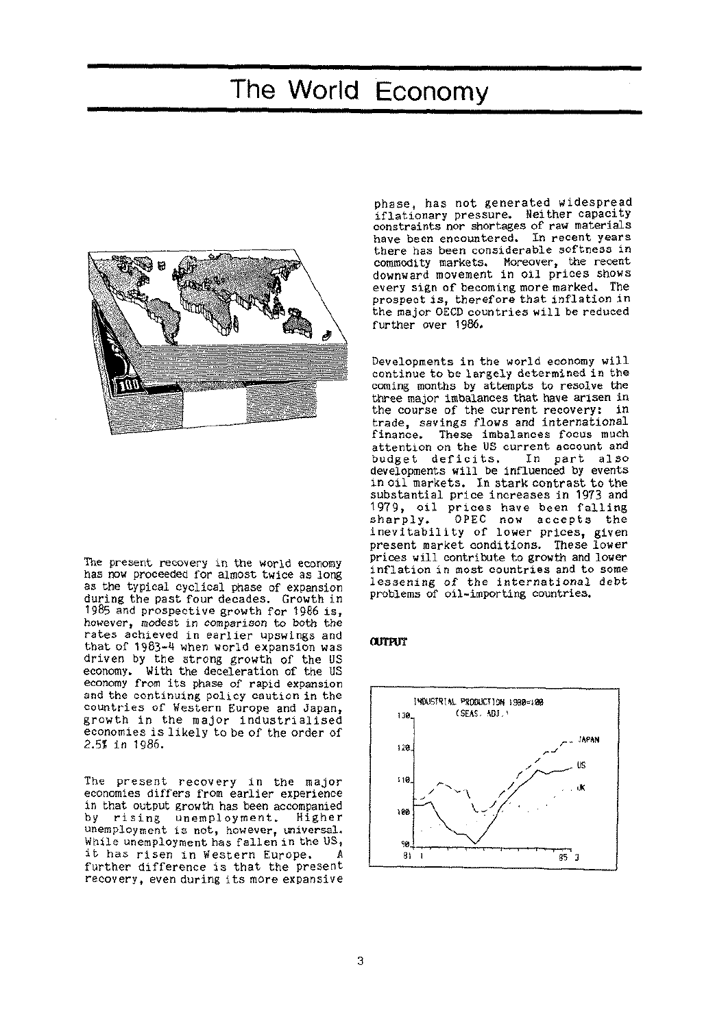# The World Economy



The present recovery in the world economy has now proceeded for almost twice as long as the typical cyclical phase of expansion during the past four decades. Growth in 1985 and prospective growth for 1986 is, however, modest in comparison to both the rates achieved in earlier upswings and that of 1983-4 when world expansion was driven by the strong growth of the US economy. With the deceleration of the US economy from its phase of rapid expansion and the continuing policy caution in the countries of Western Europe and Japan, growth in the major industrialised economies is likely to be of the order of 2.5? in 1986.

The present recovery in the major economies differs from earlier experience in that output growth has been accompanied<br>by rising unemployment. Higher by rising unemployment. unemployment is not, however, universal. While unemployment has fallen in the US, it has risen in Western Europe. further difference is that the present recovery, even during its more expansive

phase, has not generated widespread iflationary pressure. Neither capacity constraints nor shortages of raw materials have been encountered. In recent years there has been considerable softness in commodity markets. Moreover, the recent downward movement in oil prices shows every sign of becoming more marked. The prospect is, therefore that inflation in the major OECD countries will be reduced further over 1986.

Developments in the world economy will continue to be largely determined in the coming months by attempts to resolve the three major imbalances that have arisen in the course of the current recovery: in trade, savings flows and international<br>finance. These imbalances focus much These imbalances focus much attention on the US current account and<br>budget deficits. In part also budget deficits. developments will be influenced by events in oil markets. In stark contrast to the substantial price increases in 1973 and 1979, oil prices have been falling<br>sharply. OPEC now accepts the OPEC now accepts the inevitability of lower prices, given present market conditions. These lower prices will contribute to growth and lower inflation in most countries and to some lessening of the international debt problems of oil-importing countries.

### **OUTPUT**

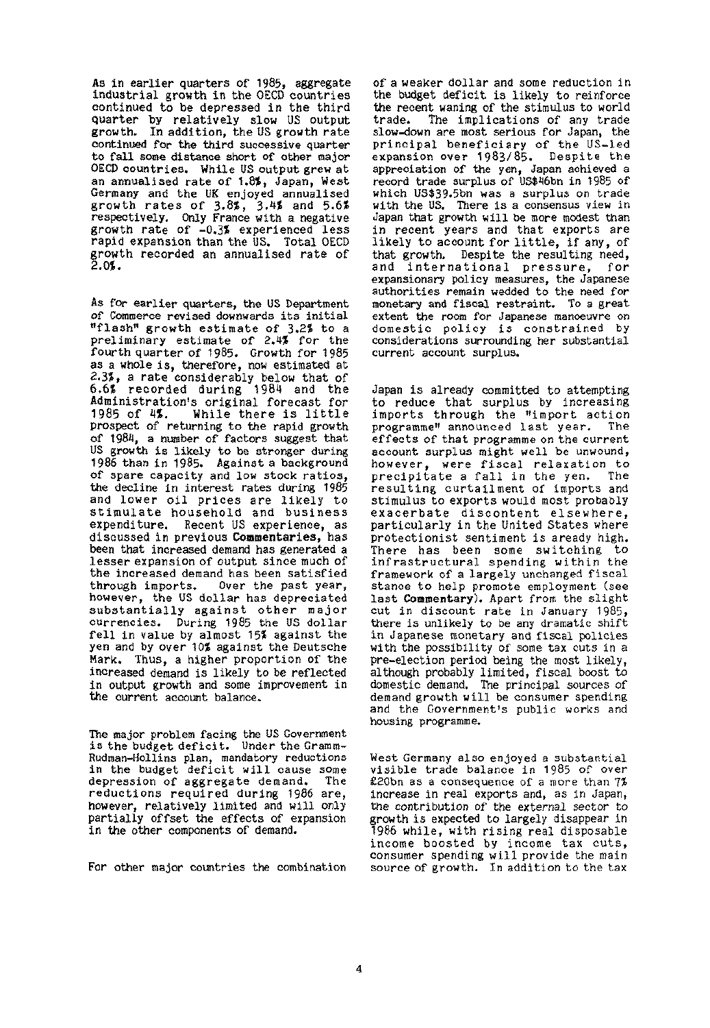As in earlier quarters of 1985, aggregate industrial growth in the OECD countries continued to be depressed in the third quarter by relatively slow US output growth. In addition, the US growth rate continued for the third successive quarter to fall some distance short of other major OECD countries. While US output grew at an annualised rate of 1.8%, Japan, West Germany and the UK enjoyed annualised growth rates of  $3.8\%$ ,  $3.4\%$  and  $5.6\%$ respectively. Only France with a negative growth rate of  $-0.35$  experienced less rapid expansion than the US. Total OECD growth recorded an annualised rate of 2.0\$.

As for earlier quarters, the US Department of Commerce revised downwards its initial "flash" growth estimate of 3.2% to a preliminary estimate of 2.4\$ for the fourth quarter of 1985. Growth for 1985 as a whole is, therefore, now estimated at 2.3%, a rate considerably below that of 6.6\$ recorded during 1984 and the Administration's original forecast for<br>1985 of 4%. While there is little While there is little prospect of returning to the rapid growth of 1984, a number of factors suggest that US growth is likely to be stronger during 1986 than in 1985. Against a background of spare capacity and low stock ratios, the decline in interest rates during 1985 and lower oil prices are likely to stimulate household and business expenditure. Recent US experience, as discussed in previous **Commentaries,** has been that increased demand has generated a lesser expansion of output since much of the increased demand has been satisfied Over the past year, however, the US dollar has depreciated substantially against other major currencies. During 1985 the US dollar fell in value by almost 15\$ against the yen and by over 10\$ against the Deutsche Mark. Thus, a higher proportion of the increased demand is likely to be reflected in output growth and some improvement in the current account balance.

The major problem facing the US Government is the budget deficit. Under the Gramm-Rudman-Hollins plan, mandatory reductions in the budget deficit will cause some depression of aggregate demand. The reductions required during 1986 are, however, relatively limited and will only partially offset the effects of expansion in the other components of demand.

For other major countries the combination

of a weaker dollar and some reduction in the budget deficit is likely to reinforce the recent waning of the stimulus to world<br>trade. The implications of any trade The implications of any trade slow-down are most serious for Japan, the principal beneficiary of the US-led expansion over 1983/85. Despite the appreciation of the yen, Japan achieved a record trade surplus of US\$46bn in 1985 of which US\$39.5bn was a surplus on trade with the US. There is a consensus view in Japan that growth will be more modest than in recent years and that exports are likely to account for little, if any, of that growth. Despite the resulting need,<br>and international pressure. for and international pressure, expansionary policy measures, the Japanese authorities remain wedded to the need for monetary and fiscal restraint. To a great extent the room for Japanese manoeuvre on domestic policy is constrained by considerations surrounding her substantial current account surplus.

Japan is already committed to attempting to reduce that surplus by increasing imports through the "import action programme" announced last year. effects of that programme on the current account surplus might well be unwound, however, were fiscal relaxation to precipitate a fall in the yen. The resulting curtailment of imports and stimulus to exports would most probably exacerbate discontent elsewhere, particularly in the United States where protectionist sentiment is aready high. There has been some switching to inere has been some swiftching by<br>infrastructural spending within the framework of a largely unchanged fiscal stance to help promote employment (see last **Commentary).** Apart from the slight cut in discount rate in January 1985, there is unlikely to be any dramatic shift in Japanese monetary and fiscal policies with the possibility of some tax cuts in a with the possibility of some tax cuts in a<br>pre-election period being the most likely, pre-election period being the most likely,<br>although probably limited, fiscal boost to domestic demand. The principal sources of domestic demand. The principal sources of demand growth will be consumer spending and the Government's public works and<br>housing programme.

West Germany also enjoyed a substantial visible trade balance in 1985 of over £20bn as a consequence of a more than 7% increase in real exports and, as in Japan, the contribution of the external sector to growth is expected to largely disappear in 1986 while, with rising real disposable income boosted by income tax cuts, consumer spending will provide the main source of growth. In addition to the tax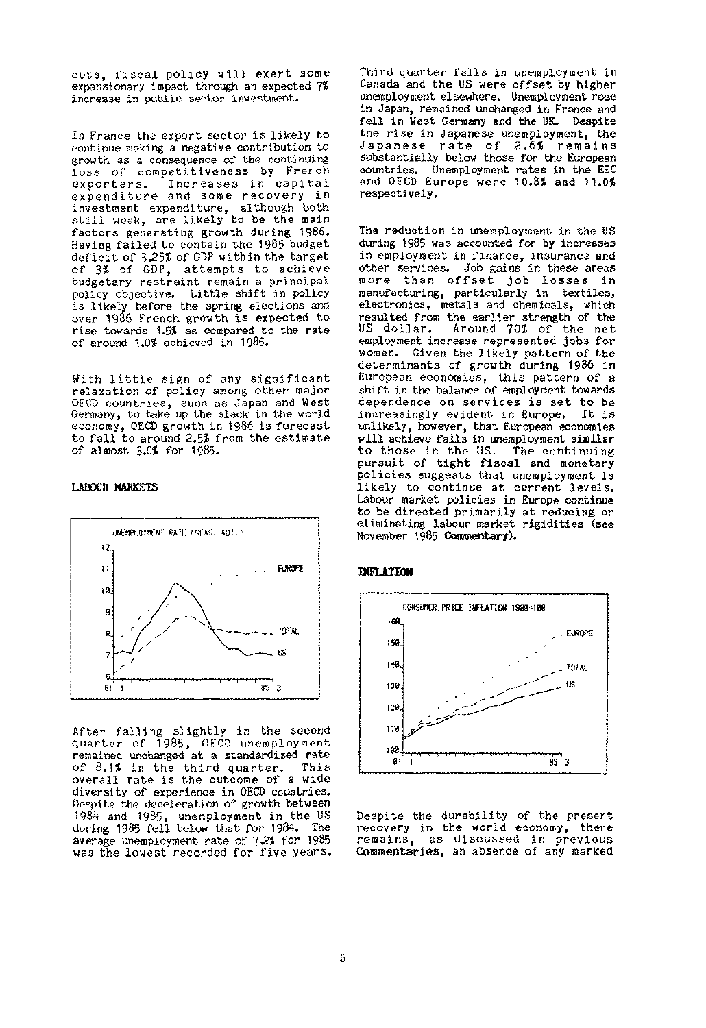cuts, fiscal policy will exert some expansionary impact through an expected 7% increase in public sector investment.

In France the export sector is likely to continue making a negative contribution to growth as a consequence of the continuing loss of competitiveness by French<br>exporters. Increases in capital Increases in capital expenditure and some recovery in investment expenditure, although both still weak, are likely to be the main factors generating growth during 1986. Having failed to contain the 1985 budget deficit of 3.25% of GDP within the target of 3% of GDP, attempts to achieve budgetary restraint remain a principal policy objective. Little shift in policy is likely before the spring elections and over 1986 French growth is expected to rise towards 1.5? as compared to the rate of around 1.0? achieved in 1985.

With little sign of any significant relaxation of policy among other major OECD countries, such as Japan and West Germany, to take up the slack in the world economy, OECD growth in 1986 is forecast to fall to around 2.5? from the estimate of almost 3.0? for 1985.

#### **LABOUR MARKETS**



After falling slightly in the second quarter of 1985, OECD unemployment remained unchanged at a standardised rate of 8.1% in the third quarter. This overall rate is the outcome of a wide diversity of experience in OECD countries. Despite the deceleration of growth between 1984 and 1985, unemployment in the US during 1985 fell below that for 1984. The average unemployment rate of 7.2? for 1985 was the lowest recorded for five years.

Third quarter falls in unemployment in Canada and the US were offset by higher unemployment elsewhere. Unemployment rose in Japan, remained unchanged in France and fell in West Germany and the UK. Despite the rise in Japanese unemployment, the Japanese rate of 2.6% remains substantially below those for the European countries. Unemployment rates in the EEC and OECD Europe were 10.8% and 11.0% respectively.

The reduction in unemployment in the US during 1985 was accounted for by increases in employment in finance, insurance and other services. Job gains in these areas more than offset job losses in manufacturing, particularly in textiles, electronics, metals and chemicals, which resulted from the earlier strength of the US dollar. Around 70% of the net employment increase represented jobs for women. Given the likely pattern of the determinants of growth during 1986 in European economies, this pattern of a shift in the balance of employment towards dependence on services is set to be increasingly evident in Europe. It is unlikely, however, that European economies will achieve falls in unemployment similar to those in the US. The continuing pursuit of tight fiscal and monetary policies suggests that unemployment is likely to continue at current levels. Labour market policies in Europe continue to be directed primarily at reducing or eliminating labour market rigidities (see November 1985 **Commentary).** 

#### **INFLATION**



Despite the durability of the present recovery in the world economy, there remains, as discussed in previous **Commentaries,** an absence of any marked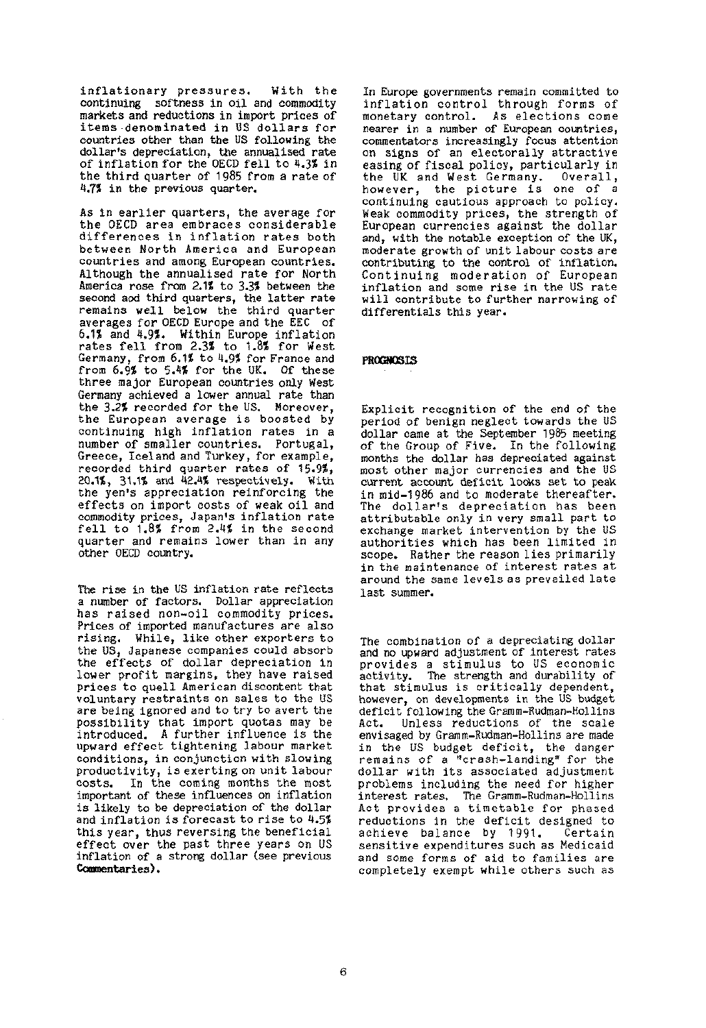inflationary pressures. With the continuing softness in oil and commodity markets and reductions in import prices of items denominated in US dollars for countries other than the US following the dollar's depreciation, the annualised rate of inflation for the OECD fell to 4.3% in the third quarter of 1985 from a rate of 4.7% in the previous quarter.

As in earlier quarters, the average for the OECD area embraces considerable differences in inflation rates both between North America and European countries and among European countries. Although the annualised rate for North America rose from 2.1% to 3.3% between the second aod third quarters, the latter rate remains well below the third quarter averages for OECD Europe and the EEC of 6.1% and 4.9%. Within Europe inflation rates fell from 2.3% to 1.8% for West Germany, from 6.1% to 4.9% for France and from 6.9% to 5.4% for the UK. Of these three major European countries only West Germany achieved a lower annual rate than the 3.2% recorded for the US. Moreover, the European average is boosted by continuing high inflation rates in a number of smaller countries. Portugal, Greece, Iceland and Turkey, for example, orecoe, iceiand and furkey, for example,<br>recorded third cuarter rates of 15.9% 20.1%, 20.1%, 20.1%, 20.1%, 20.1%, 20.1%, 20.1%<br>20.1% respectively. With the spectrum of the Castle cu.ib, ji.ib and ac.ax respectively. With<br>the yen's appreciation reinforcing the the yen's appreciation reinforcing the<br>effects on import costs of weak oil and errects on import costs of weak oil and<br>examination weight inflation rate commodity prices, Japan's inflation rate<br>foll to 1.8% from 2.4% in the second rell to 1.0» from 2.4» in the second<br>cuanter and namains lower than in any quarter and remain<br>.they.oECD.countwy.

The rise in the US inflation rate reflects a number of factors. Dollar appreciation has raised non-oil commodity prices. Prices of imported manufactures are also rising. While, like other exporters to the US, Japanese companies could absorb the effects of dollar depreciation in lower profit margins, they have raised prices to quell American discontent that voluntary restraints on sales to the US are being ignored and to try to avert the possibility that import quotas may be introduced. A further influence is the upward effect tightening labour market conditions, in conjunction with slowing productivity, is exerting on unit labour costs. In the coming months the most important of these influences on inflation is likely to be depreciation of the dollar and inflation is forecast to rise to 4.5% this year, thus reversing the beneficial effect over the past three years on US. ciject over the past three years on us<br>inflation of a strong dollar (see previous **Commentaries).** 

In Europe governments remain committed to inflation control through forms of monetary control. As elections come nearer in a number of European countries, commentators increasingly focus attention on signs of an electorally attractive easing of fiscal policy, particularly in the UK and West Germany. Overall, however, the picture is one of a continuing cautious approach to policy. Weak commodity prices, the strength of European currencies against the dollar and, with the notable exception of the UK, moderate growth of unit labour costs are contributing to the control of inflation. Continuing moderation of European inflation and some rise in the US rate will contribute to further narrowing of differentials this year.

## **PROGNOSIS**

Explicit recognition of the end of the period of benign neglect towards the US dollar came at the September 1985 meeting of the Group of Five. In the following months the dollar has depreciated against most other major currencies and the US current account deficit looks set to peak in mid-1986 and to moderate thereafter. The dollar's depreciation has been attributable only in very small part to exchange market intervention by the US authorities which has been limited in scope. Rather the reason lies primarily in the maintenance of interest rates at around the same levels as prevailed late last summer.

The combination of a depreciating dollar and no upward adjustment of interest rates provides a stimulus to US economic activity. The strength and durability of that stimulus is critically dependent, however, on developments in the US budget deficit following the Gramm-Rudman-Hollins Act. Unless reductions of the scale envisaged by Gramm-Rudman-Hollins are made in the US budget deficit, the danger remains of a "crash-landing" for the dollar with its associated adjustment problems including the need for higher interest rates. The Gramm-Rudman-Hollins Act provides a timetable for phased reductions in the deficit designed to achieve balance by 1991. Certain sensitive expenditures such as Medicaid and some forms of aid to families are completely exempt while others such as